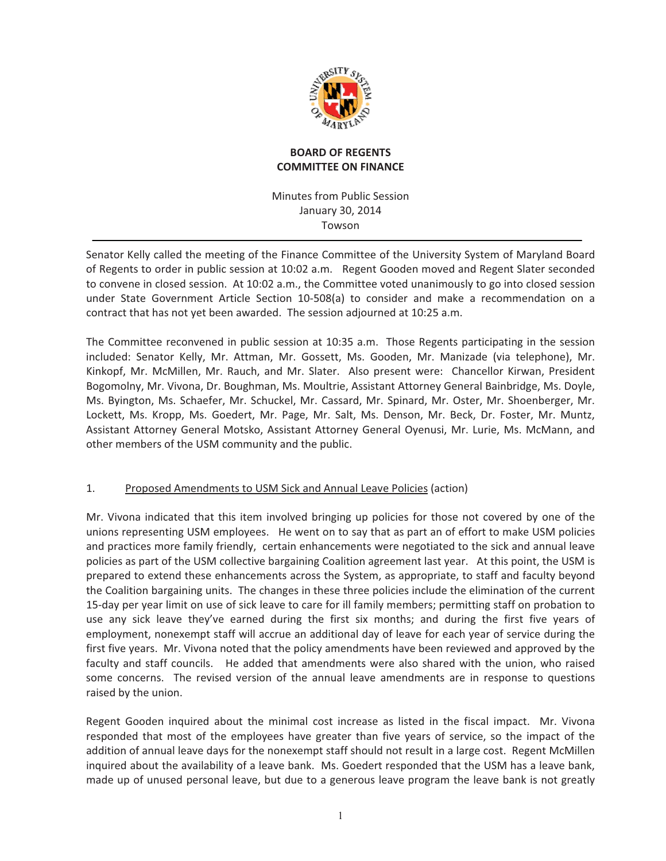

# **BOARD OF REGENTS COMMITTEE ON FINANCE**

Minutes from Public Session January 30, 2014 **Towson** 

Senator Kelly called the meeting of the Finance Committee of the University System of Maryland Board of Regents to order in public session at 10:02 a.m. Regent Gooden moved and Regent Slater seconded to convene in closed session. At 10:02 a.m., the Committee voted unanimously to go into closed session under State Government Article Section 10-508(a) to consider and make a recommendation on a contract that has not yet been awarded. The session adjourned at 10:25 a.m.

The Committee reconvened in public session at 10:35 a.m. Those Regents participating in the session included: Senator Kelly, Mr. Attman, Mr. Gossett, Ms. Gooden, Mr. Manizade (via telephone), Mr. Kinkopf, Mr. McMillen, Mr. Rauch, and Mr. Slater. Also present were: Chancellor Kirwan, President Bogomolny, Mr. Vivona, Dr. Boughman, Ms. Moultrie, Assistant Attorney General Bainbridge, Ms. Doyle, Ms. Byington, Ms. Schaefer, Mr. Schuckel, Mr. Cassard, Mr. Spinard, Mr. Oster, Mr. Shoenberger, Mr. Lockett, Ms. Kropp, Ms. Goedert, Mr. Page, Mr. Salt, Ms. Denson, Mr. Beck, Dr. Foster, Mr. Muntz, Assistant Attorney General Motsko, Assistant Attorney General Oyenusi, Mr. Lurie, Ms. McMann, and other members of the USM community and the public.

# 1. Proposed Amendments to USM Sick and Annual Leave Policies (action)

Mr. Vivona indicated that this item involved bringing up policies for those not covered by one of the unions representing USM employees. He went on to say that as part an of effort to make USM policies and practices more family friendly, certain enhancements were negotiated to the sick and annual leave policies as part of the USM collective bargaining Coalition agreement last year. At this point, the USM is prepared to extend these enhancements across the System, as appropriate, to staff and faculty beyond the Coalition bargaining units. The changes in these three policies include the elimination of the current 15-day per year limit on use of sick leave to care for ill family members; permitting staff on probation to use any sick leave they've earned during the first six months; and during the first five years of employment, nonexempt staff will accrue an additional day of leave for each year of service during the first five years. Mr. Vivona noted that the policy amendments have been reviewed and approved by the faculty and staff councils. He added that amendments were also shared with the union, who raised some concerns. The revised version of the annual leave amendments are in response to questions raised by the union.

Regent Gooden inquired about the minimal cost increase as listed in the fiscal impact. Mr. Vivona responded that most of the employees have greater than five years of service, so the impact of the addition of annual leave days for the nonexempt staff should not result in a large cost. Regent McMillen inquired about the availability of a leave bank. Ms. Goedert responded that the USM has a leave bank, made up of unused personal leave, but due to a generous leave program the leave bank is not greatly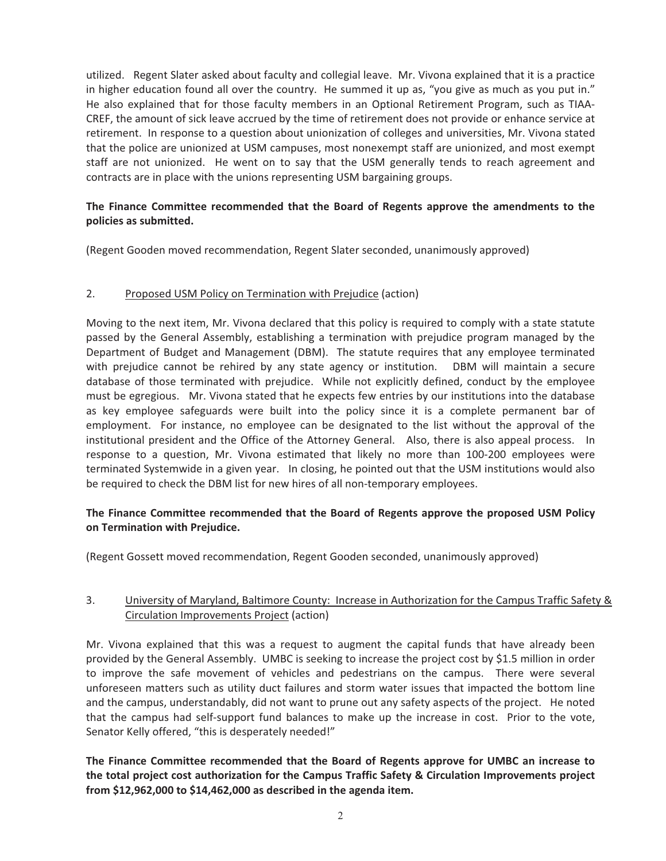utilized. Regent Slater asked about faculty and collegial leave. Mr. Vivona explained that it is a practice in higher education found all over the country. He summed it up as, "you give as much as you put in." He also explained that for those faculty members in an Optional Retirement Program, such as TIAA-CREF, the amount of sick leave accrued by the time of retirement does not provide or enhance service at retirement. In response to a question about unionization of colleges and universities, Mr. Vivona stated that the police are unionized at USM campuses, most nonexempt staff are unionized, and most exempt staff are not unionized. He went on to say that the USM generally tends to reach agreement and contracts are in place with the unions representing USM bargaining groups.

# **The Finance Committee recommended that the Board of Regents approve the amendments to the policies-as-submitted.-**

(Regent Gooden moved recommendation, Regent Slater seconded, unanimously approved)

# 2. Proposed USM Policy on Termination with Prejudice (action)

Moving to the next item, Mr. Vivona declared that this policy is required to comply with a state statute passed by the General Assembly, establishing a termination with prejudice program managed by the Department of Budget and Management (DBM). The statute requires that any employee terminated with prejudice cannot be rehired by any state agency or institution. DBM will maintain a secure database of those terminated with prejudice. While not explicitly defined, conduct by the employee must be egregious. Mr. Vivona stated that he expects few entries by our institutions into the database as key employee safeguards were built into the policy since it is a complete permanent bar of employment. For instance, no employee can be designated to the list without the approval of the institutional president and the Office of the Attorney General. Also, there is also appeal process. In response to a question, Mr. Vivona estimated that likely no more than 100-200 employees were terminated Systemwide in a given year. In closing, he pointed out that the USM institutions would also be required to check the DBM list for new hires of all non-temporary employees.

# **The Finance Committee recommended that the Board of Regents approve the proposed USM Policy on-Termination-with-Prejudice.**-

(Regent Gossett moved recommendation, Regent Gooden seconded, unanimously approved)

# 3. University of Maryland, Baltimore County: Increase in Authorization for the Campus Traffic Safety & Circulation Improvements Project (action)

Mr. Vivona explained that this was a request to augment the capital funds that have already been provided by the General Assembly. UMBC is seeking to increase the project cost by \$1.5 million in order to improve the safe movement of vehicles and pedestrians on the campus. There were several unforeseen matters such as utility duct failures and storm water issues that impacted the bottom line and the campus, understandably, did not want to prune out any safety aspects of the project. He noted that the campus had self-support fund balances to make up the increase in cost. Prior to the vote, Senator Kelly offered, "this is desperately needed!"

**The Finance Committee recommended that the Board of Regents approve for UMBC an increase to the total project cost authorization for the Campus Traffic Safety & Circulation Improvements project** from \$12,962,000 to \$14,462,000 as described in the agenda item.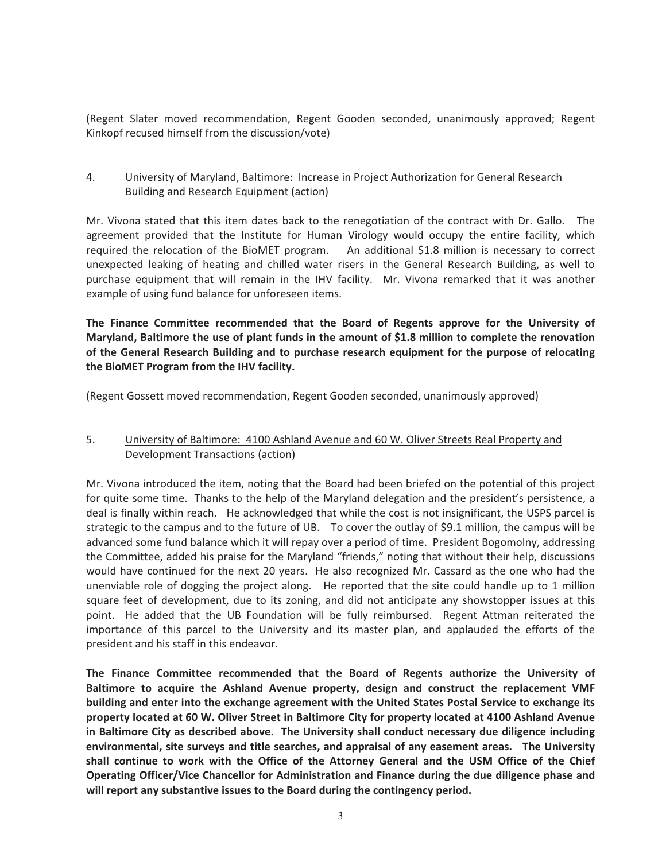(Regent Slater moved recommendation, Regent Gooden seconded, unanimously approved; Regent Kinkopf recused himself from the discussion/vote)

# 4. University of Maryland, Baltimore: Increase in Project Authorization for General Research **Building and Research Equipment (action)**

Mr. Vivona stated that this item dates back to the renegotiation of the contract with Dr. Gallo. The agreement provided that the Institute for Human Virology would occupy the entire facility, which required the relocation of the BioMET program. An additional \$1.8 million is necessary to correct unexpected leaking of heating and chilled water risers in the General Research Building, as well to purchase equipment that will remain in the IHV facility. Mr. Vivona remarked that it was another example of using fund balance for unforeseen items.

The Finance Committee recommended that the Board of Regents approve for the University of Maryland, Baltimore the use of plant funds in the amount of \$1.8 million to complete the renovation **of the General Research Building and to purchase research equipment for the purpose of relocating the BioMET Program from the IHV facility.** 

(Regent Gossett moved recommendation, Regent Gooden seconded, unanimously approved)

# 5. University of Baltimore: 4100 Ashland Avenue and 60 W. Oliver Streets Real Property and Development Transactions (action)

Mr. Vivona introduced the item, noting that the Board had been briefed on the potential of this project for quite some time. Thanks to the help of the Maryland delegation and the president's persistence, a deal is finally within reach. He acknowledged that while the cost is not insignificant, the USPS parcel is strategic to the campus and to the future of UB. To cover the outlay of \$9.1 million, the campus will be advanced some fund balance which it will repay over a period of time. President Bogomolny, addressing the Committee, added his praise for the Maryland "friends," noting that without their help, discussions would have continued for the next 20 years. He also recognized Mr. Cassard as the one who had the unenviable role of dogging the project along. He reported that the site could handle up to 1 million square feet of development, due to its zoning, and did not anticipate any showstopper issues at this point. He added that the UB Foundation will be fully reimbursed. Regent Attman reiterated the importance of this parcel to the University and its master plan, and applauded the efforts of the president and his staff in this endeavor.

**The Finance Committee recommended that the Board of Regents authorize the University of** Baltimore to acquire the Ashland Avenue property, design and construct the replacement VMF building and enter into the exchange agreement with the United States Postal Service to exchange its property located at 60 W. Oliver Street in Baltimore City for property located at 4100 Ashland Avenue In Baltimore City as described above. The University shall conduct necessary due diligence including environmental, site surveys and title searches, and appraisal of any easement areas. The University shall continue to work with the Office of the Attorney General and the USM Office of the Chief **Operating Officer/Vice Chancellor for Administration and Finance during the due diligence phase and will report any substantive issues to the Board during the contingency period.**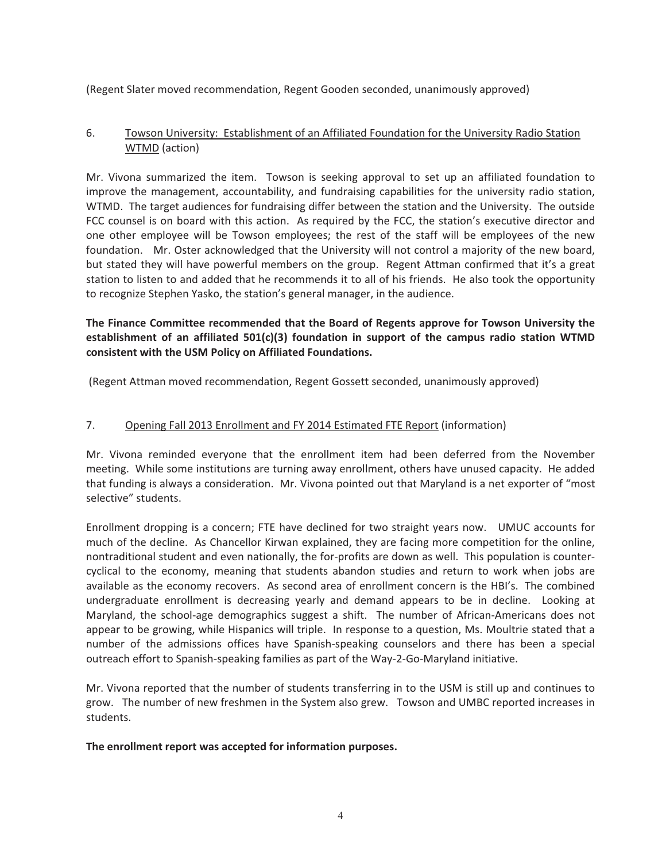(Regent Slater moved recommendation, Regent Gooden seconded, unanimously approved)

# 6. Towson University: Establishment of an Affiliated Foundation for the University Radio Station WTMD (action)

Mr. Vivona summarized the item. Towson is seeking approval to set up an affiliated foundation to improve the management, accountability, and fundraising capabilities for the university radio station, WTMD. The target audiences for fundraising differ between the station and the University. The outside FCC counsel is on board with this action. As required by the FCC, the station's executive director and one other employee will be Towson employees; the rest of the staff will be employees of the new foundation. Mr. Oster acknowledged that the University will not control a majority of the new board, but stated they will have powerful members on the group. Regent Attman confirmed that it's a great station to listen to and added that he recommends it to all of his friends. He also took the opportunity to recognize Stephen Yasko, the station's general manager, in the audience.

**The Finance Committee recommended that the Board of Regents approve for Towson University the establishment of an affiliated 501(c)(3) foundation in support of the campus radio station WTMD consistent with the USM Policy on Affiliated Foundations.** 

(Regent Attman moved recommendation, Regent Gossett seconded, unanimously approved)

#### 7. Opening Fall 2013 Enrollment and FY 2014 Estimated FTE Report (information)

Mr. Vivona reminded everyone that the enrollment item had been deferred from the November meeting. While some institutions are turning away enrollment, others have unused capacity. He added that funding is always a consideration. Mr. Vivona pointed out that Maryland is a net exporter of "most selective" students.

Enrollment dropping is a concern; FTE have declined for two straight years now. UMUC accounts for much of the decline. As Chancellor Kirwan explained, they are facing more competition for the online, nontraditional student and even nationally, the for-profits are down as well. This population is countercyclical to the economy, meaning that students abandon studies and return to work when jobs are available as the economy recovers. As second area of enrollment concern is the HBI's. The combined undergraduate enrollment is decreasing yearly and demand appears to be in decline. Looking at Maryland, the school-age demographics suggest a shift. The number of African-Americans does not appear to be growing, while Hispanics will triple. In response to a question, Ms. Moultrie stated that a number of the admissions offices have Spanish-speaking counselors and there has been a special outreach effort to Spanish-speaking families as part of the Way-2-Go-Maryland initiative.

Mr. Vivona reported that the number of students transferring in to the USM is still up and continues to grow. The number of new freshmen in the System also grew. Towson and UMBC reported increases in students.

#### **The enrollment report was accepted for information purposes.**